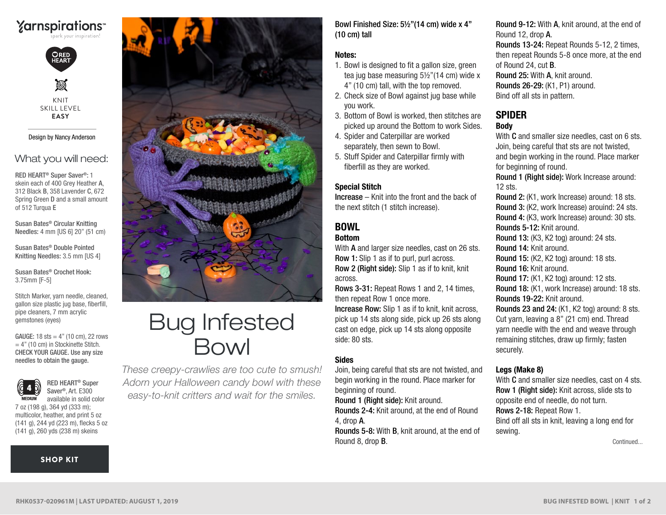## **Yarnspirations**



M KNIT SKILL LEVEL **EASY**

#### Design by Nancy Anderson

#### What you will need:

RED HEART® Super Saver®: 1 skein each of 400 Grey Heather A, 312 Black B, 358 Lavender C, 672 Spring Green D and a small amount of 512 Turqua E

Susan Bates® Circular Knitting Needles: 4 mm [US 6] 20" (51 cm)

Susan Bates® Double Pointed Knitting Needles: 3.5 mm [US 4]

Susan Bates® Crochet Hook: 3.75mm [F-5]

Stitch Marker, yarn needle, cleaned, gallon size plastic jug base, fiberfill, pipe cleaners, 7 mm acrylic gemstones (eyes)

GAUGE:  $18$  sts =  $4"$  (10 cm), 22 rows  $= 4$ " (10 cm) in Stockinette Stitch. CHECK YOUR GAUGE. Use any size needles to obtain the gauge.



RED HEART® Super Saver®, Art. E300 available in solid color

7 oz (198 g), 364 yd (333 m); multicolor, heather, and print 5 oz (141 g), 244 yd (223 m), flecks 5 oz (141 g), 260 yds (238 m) skeins

#### [SHOP KIT](https://www.yarnspirations.com/red-heart-bug-infested-bowl/RHK0537-020961M.html#utm_source=pdf-yarnspirations&utm_medium=referral&utm_campaign=pdf-RHK0537-020961M)



# Bug Infested Bowl

*These creepy-crawlies are too cute to smush! Adorn your Halloween candy bowl with these easy-to-knit critters and wait for the smiles.*

Bowl Finished Size: 5½"(14 cm) wide x 4" (10 cm) tall

#### Notes:

- 1. Bowl is designed to fit a gallon size, green tea jug base measuring 5½"(14 cm) wide x 4" (10 cm) tall, with the top removed.
- 2. Check size of Bowl against jug base while you work.
- 3. Bottom of Bowl is worked, then stitches are picked up around the Bottom to work Sides.
- 4. Spider and Caterpillar are worked separately, then sewn to Bowl.
- 5. Stuff Spider and Caterpillar firmly with fiberfill as they are worked.

#### Special Stitch

Increase – Knit into the front and the back of the next stitch (1 stitch increase).

#### BOWL Bottom

With **A** and larger size needles, cast on 26 sts. Row 1: Slip 1 as if to purl, purl across. Row 2 (Right side): Slip 1 as if to knit, knit across.

Rows 3-31: Repeat Rows 1 and 2, 14 times, then repeat Row 1 once more.

Increase Row: Slip 1 as if to knit, knit across, pick up 14 sts along side, pick up 26 sts along cast on edge, pick up 14 sts along opposite side: 80 sts.

#### **Sides**

Join, being careful that sts are not twisted, and begin working in the round. Place marker for beginning of round.

Round 1 (Right side): Knit around.

Rounds 2-4: Knit around, at the end of Round 4, drop A.

Rounds 5-8: With B, knit around, at the end of Round 8, drop B.

Round 9-12: With A, knit around, at the end of Round 12, drop A. Rounds 13-24: Repeat Rounds 5-12, 2 times, then repeat Rounds 5-8 once more, at the end of Round 24, cut B. Round 25: With A, knit around. Rounds 26-29: (K1, P1) around. Bind off all sts in pattern.

#### SPIDER Body

With **C** and smaller size needles, cast on 6 sts. Join, being careful that sts are not twisted, and begin working in the round. Place marker for beginning of round. Round 1 (Right side): Work Increase around: 12 sts. Round 2: (K1, work Increase) around: 18 sts. Round 3: (K2, work Increase) arouind: 24 sts. Round 4: (K3, work Increase) around: 30 sts. Rounds 5-12: Knit around. Round 13: (K3, K2 tog) around: 24 sts. Round 14: Knit around. Round 15: (K2, K2 tog) around: 18 sts. Round 16: Knit around. Round 17: (K1, K2 tog) around: 12 sts. Round 18: (K1, work Increase) around: 18 sts. Rounds 19-22: Knit around. Rounds 23 and 24: (K1, K2 tog) around: 8 sts. Cut yarn, leaving a 8" (21 cm) end. Thread yarn needle with the end and weave through remaining stitches, draw up firmly; fasten securely.

#### Legs (Make 8)

With **C** and smaller size needles, cast on 4 sts. Row 1 (Right side): Knit across, slide sts to opposite end of needle, do not turn. Rows 2-18: Repeat Row 1. Bind off all sts in knit, leaving a long end for sewing.

Continued...